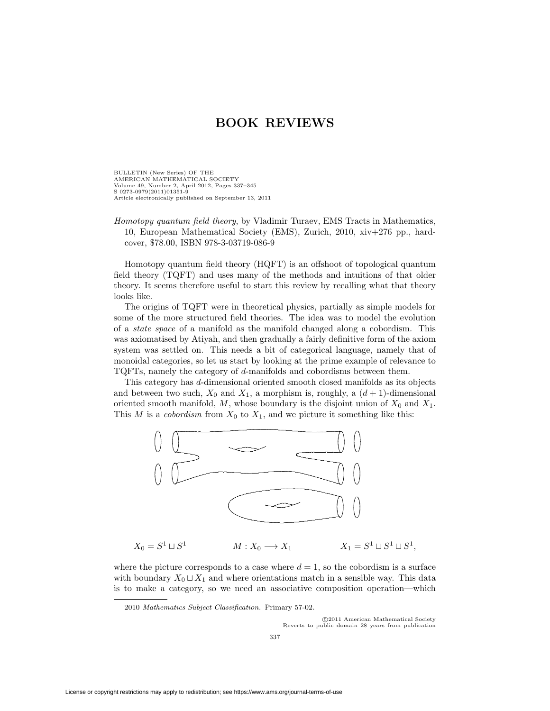BULLETIN (New Series) OF THE AMERICAN MATHEMATICAL SOCIETY Volume 49, Number 2, April 2012, Pages 337–345 S 0273-0979(2011)01351-9 Article electronically published on September 13, 2011

Homotopy quantum field theory, by Vladimir Turaev, EMS Tracts in Mathematics, 10, European Mathematical Society (EMS), Zurich, 2010, xiv+276 pp., hardcover, \$78.00, ISBN 978-3-03719-086-9

Homotopy quantum field theory (HQFT) is an offshoot of topological quantum field theory (TQFT) and uses many of the methods and intuitions of that older theory. It seems therefore useful to start this review by recalling what that theory looks like.

The origins of TQFT were in theoretical physics, partially as simple models for some of the more structured field theories. The idea was to model the evolution of a state space of a manifold as the manifold changed along a cobordism. This was axiomatised by Atiyah, and then gradually a fairly definitive form of the axiom system was settled on. This needs a bit of categorical language, namely that of monoidal categories, so let us start by looking at the prime example of relevance to TQFTs, namely the category of d-manifolds and cobordisms between them.

This category has d-dimensional oriented smooth closed manifolds as its objects and between two such,  $X_0$  and  $X_1$ , a morphism is, roughly, a  $(d + 1)$ -dimensional oriented smooth manifold, M, whose boundary is the disjoint union of  $X_0$  and  $X_1$ . This M is a cobordism from  $X_0$  to  $X_1$ , and we picture it something like this:



 $X_0 = S^1 \sqcup S^1$  $M: X_0 \longrightarrow X_1$  $M: X_0 \longrightarrow X_1$   $X_1 = S^1 \sqcup S^1 \sqcup S^1$ ,

where the picture corresponds to a case where  $d = 1$ , so the cobordism is a surface with boundary  $X_0 \sqcup X_1$  and where orientations match in a sensible way. This data is to make a category, so we need an associative composition operation—which

2010 Mathematics Subject Classification. Primary 57-02.

-c 2011 American Mathematical Society Reverts to public domain 28 years from publication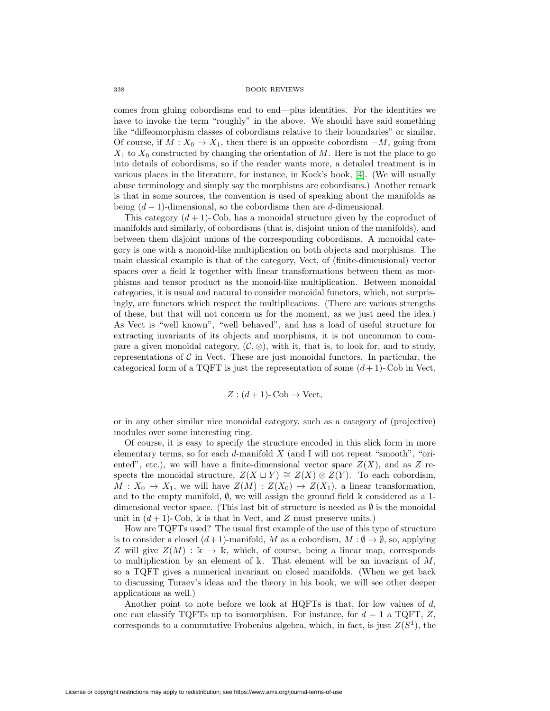comes from gluing cobordisms end to end—plus identities. For the identities we have to invoke the term "roughly" in the above. We should have said something like "diffeomorphism classes of cobordisms relative to their boundaries" or similar. Of course, if  $M : X_0 \to X_1$ , then there is an opposite cobordism  $-M$ , going from  $X_1$  to  $X_0$  constructed by changing the orientation of M. Here is not the place to go into details of cobordisms, so if the reader wants more, a detailed treatment is in various places in the literature, for instance, in Kock's book, [\[4\]](#page-8-0). (We will usually abuse terminology and simply say the morphisms are cobordisms.) Another remark is that in some sources, the convention is used of speaking about the manifolds as being  $(d-1)$ -dimensional, so the cobordisms then are d-dimensional.

This category  $(d+1)$ -Cob, has a monoidal structure given by the coproduct of manifolds and similarly, of cobordisms (that is, disjoint union of the manifolds), and between them disjoint unions of the corresponding cobordisms. A monoidal category is one with a monoid-like multiplication on both objects and morphisms. The main classical example is that of the category, Vect, of (finite-dimensional) vector spaces over a field  $\mathbbk$  together with linear transformations between them as morphisms and tensor product as the monoid-like multiplication. Between monoidal categories, it is usual and natural to consider monoidal functors, which, not surprisingly, are functors which respect the multiplications. (There are various strengths of these, but that will not concern us for the moment, as we just need the idea.) As Vect is "well known", "well behaved", and has a load of useful structure for extracting invariants of its objects and morphisms, it is not uncommon to compare a given monoidal category,  $(C, \otimes)$ , with it, that is, to look for, and to study, representations of  $\mathcal C$  in Vect. These are just monoidal functors. In particular, the categorical form of a TQFT is just the representation of some  $(d+1)$ - Cob in Vect,

$$
Z: (d+1)\text{-}\mathrm{Cob} \to \mathrm{Vect},
$$

or in any other similar nice monoidal category, such as a category of (projective) modules over some interesting ring.

Of course, it is easy to specify the structure encoded in this slick form in more elementary terms, so for each  $d$ -manifold  $X$  (and I will not repeat "smooth", "oriented", etc.), we will have a finite-dimensional vector space  $Z(X)$ , and as Z respects the monoidal structure,  $Z(X \sqcup Y) \cong Z(X) \otimes Z(Y)$ . To each cobordism,  $M: X_0 \to X_1$ , we will have  $Z(M): Z(X_0) \to Z(X_1)$ , a linear transformation, and to the empty manifold,  $\emptyset$ , we will assign the ground field  $\Bbbk$  considered as a 1dimensional vector space. (This last bit of structure is needed as  $\emptyset$  is the monoidal unit in  $(d+1)$ - Cob, k is that in Vect, and Z must preserve units.)

How are TQFTs used? The usual first example of the use of this type of structure is to consider a closed  $(d+1)$ -manifold, M as a cobordism,  $M : \emptyset \to \emptyset$ , so, applying Z will give  $Z(M) : \mathbb{k} \to \mathbb{k}$ , which, of course, being a linear map, corresponds to multiplication by an element of  $\mathbb{R}$ . That element will be an invariant of M, so a TQFT gives a numerical invariant on closed manifolds. (When we get back to discussing Turaev's ideas and the theory in his book, we will see other deeper applications as well.)

Another point to note before we look at HQFTs is that, for low values of  $d$ , one can classify TQFTs up to isomorphism. For instance, for  $d = 1$  a TQFT, Z, corresponds to a commutative Frobenius algebra, which, in fact, is just  $Z(S^1)$ , the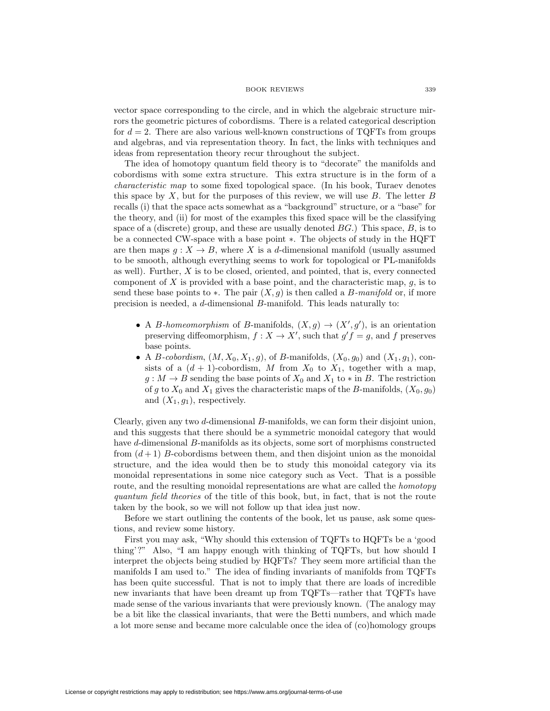vector space corresponding to the circle, and in which the algebraic structure mirrors the geometric pictures of cobordisms. There is a related categorical description for  $d = 2$ . There are also various well-known constructions of TQFTs from groups and algebras, and via representation theory. In fact, the links with techniques and ideas from representation theory recur throughout the subject.

The idea of homotopy quantum field theory is to "decorate" the manifolds and cobordisms with some extra structure. This extra structure is in the form of a characteristic map to some fixed topological space. (In his book, Turaev denotes this space by  $X$ , but for the purposes of this review, we will use  $B$ . The letter  $B$ recalls (i) that the space acts somewhat as a "background" structure, or a "base" for the theory, and (ii) for most of the examples this fixed space will be the classifying space of a (discrete) group, and these are usually denoted  $BG$ .) This space,  $B$ , is to be a connected CW-space with a base point ∗. The objects of study in the HQFT are then maps  $g: X \to B$ , where X is a d-dimensional manifold (usually assumed to be smooth, although everything seems to work for topological or PL-manifolds as well). Further,  $X$  is to be closed, oriented, and pointed, that is, every connected component of  $X$  is provided with a base point, and the characteristic map,  $g$ , is to send these base points to  $\ast$ . The pair  $(X, q)$  is then called a B-manifold or, if more precision is needed, a d-dimensional B-manifold. This leads naturally to:

- A *B*-homeomorphism of *B*-manifolds,  $(X, g) \rightarrow (X', g')$ , is an orientation preserving diffeomorphism,  $f: X \to X'$ , such that  $g'f = g$ , and f preserves base points.
- A *B*-cobordism,  $(M, X_0, X_1, g)$ , of *B*-manifolds,  $(X_0, g_0)$  and  $(X_1, g_1)$ , consists of a  $(d + 1)$ -cobordism, M from  $X_0$  to  $X_1$ , together with a map,  $g: M \to B$  sending the base points of  $X_0$  and  $X_1$  to  $*$  in B. The restriction of g to  $X_0$  and  $X_1$  gives the characteristic maps of the B-manifolds,  $(X_0, g_0)$ and  $(X_1, g_1)$ , respectively.

Clearly, given any two d-dimensional B-manifolds, we can form their disjoint union, and this suggests that there should be a symmetric monoidal category that would have d-dimensional B-manifolds as its objects, some sort of morphisms constructed from  $(d+1)$  B-cobordisms between them, and then disjoint union as the monoidal structure, and the idea would then be to study this monoidal category via its monoidal representations in some nice category such as Vect. That is a possible route, and the resulting monoidal representations are what are called the *homotopy* quantum field theories of the title of this book, but, in fact, that is not the route taken by the book, so we will not follow up that idea just now.

Before we start outlining the contents of the book, let us pause, ask some questions, and review some history.

First you may ask, "Why should this extension of TQFTs to HQFTs be a 'good thing'?" Also, "I am happy enough with thinking of TQFTs, but how should I interpret the objects being studied by HQFTs? They seem more artificial than the manifolds I am used to." The idea of finding invariants of manifolds from TQFTs has been quite successful. That is not to imply that there are loads of incredible new invariants that have been dreamt up from TQFTs—rather that TQFTs have made sense of the various invariants that were previously known. (The analogy may be a bit like the classical invariants, that were the Betti numbers, and which made a lot more sense and became more calculable once the idea of (co)homology groups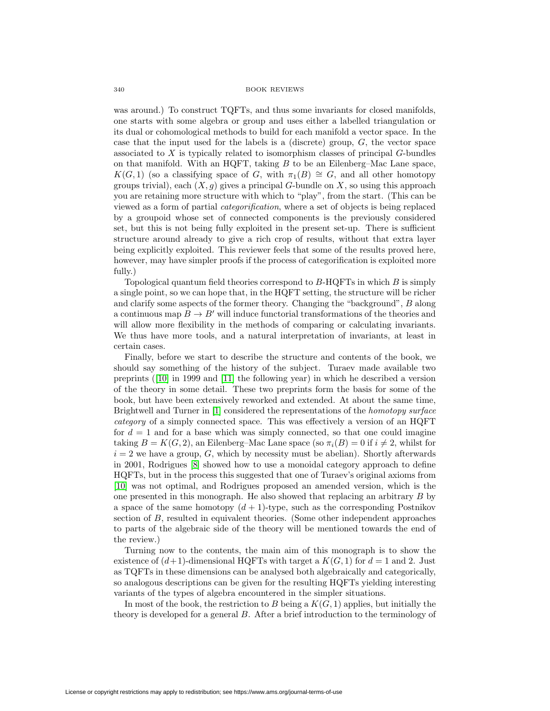was around.) To construct TQFTs, and thus some invariants for closed manifolds, one starts with some algebra or group and uses either a labelled triangulation or its dual or cohomological methods to build for each manifold a vector space. In the case that the input used for the labels is a (discrete) group,  $G$ , the vector space associated to X is typically related to isomorphism classes of principal G-bundles on that manifold. With an HQFT, taking  $B$  to be an Eilenberg–Mac Lane space,  $K(G, 1)$  (so a classifying space of G, with  $\pi_1(B) \cong G$ , and all other homotopy groups trivial), each  $(X, g)$  gives a principal G-bundle on X, so using this approach you are retaining more structure with which to "play", from the start. (This can be viewed as a form of partial categorification, where a set of objects is being replaced by a groupoid whose set of connected components is the previously considered set, but this is not being fully exploited in the present set-up. There is sufficient structure around already to give a rich crop of results, without that extra layer being explicitly exploited. This reviewer feels that some of the results proved here, however, may have simpler proofs if the process of categorification is exploited more fully.)

Topological quantum field theories correspond to  $B$ -HQFTs in which  $B$  is simply a single point, so we can hope that, in the HQFT setting, the structure will be richer and clarify some aspects of the former theory. Changing the "background", B along a continuous map  $B \to B'$  will induce functorial transformations of the theories and will allow more flexibility in the methods of comparing or calculating invariants. We thus have more tools, and a natural interpretation of invariants, at least in certain cases.

Finally, before we start to describe the structure and contents of the book, we should say something of the history of the subject. Turaev made available two preprints ([\[10\]](#page-8-1) in 1999 and [\[11\]](#page-8-2) the following year) in which he described a version of the theory in some detail. These two preprints form the basis for some of the book, but have been extensively reworked and extended. At about the same time, Brightwell and Turner in [\[1\]](#page-8-3) considered the representations of the homotopy surface category of a simply connected space. This was effectively a version of an HQFT for  $d = 1$  and for a base which was simply connected, so that one could imagine taking  $B = K(G, 2)$ , an Eilenberg–Mac Lane space (so  $\pi_i(B) = 0$  if  $i \neq 2$ , whilst for  $i = 2$  we have a group, G, which by necessity must be abelian). Shortly afterwards in 2001, Rodrigues [\[8\]](#page-8-4) showed how to use a monoidal category approach to define HQFTs, but in the process this suggested that one of Turaev's original axioms from [\[10\]](#page-8-1) was not optimal, and Rodrigues proposed an amended version, which is the one presented in this monograph. He also showed that replacing an arbitrary B by a space of the same homotopy  $(d+1)$ -type, such as the corresponding Postnikov section of B, resulted in equivalent theories. (Some other independent approaches to parts of the algebraic side of the theory will be mentioned towards the end of the review.)

Turning now to the contents, the main aim of this monograph is to show the existence of  $(d+1)$ -dimensional HQFTs with target a  $K(G, 1)$  for  $d = 1$  and 2. Just as TQFTs in these dimensions can be analysed both algebraically and categorically, so analogous descriptions can be given for the resulting HQFTs yielding interesting variants of the types of algebra encountered in the simpler situations.

In most of the book, the restriction to B being a  $K(G, 1)$  applies, but initially the theory is developed for a general B. After a brief introduction to the terminology of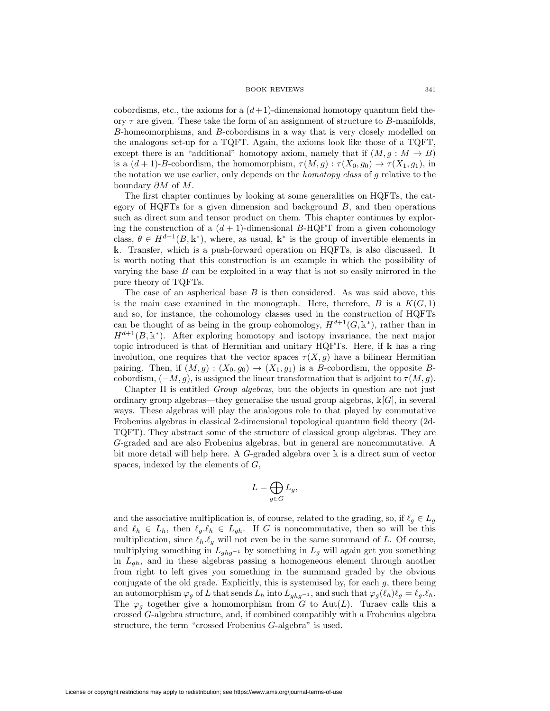cobordisms, etc., the axioms for a  $(d+1)$ -dimensional homotopy quantum field theory  $\tau$  are given. These take the form of an assignment of structure to B-manifolds, B-homeomorphisms, and B-cobordisms in a way that is very closely modelled on the analogous set-up for a TQFT. Again, the axioms look like those of a TQFT, except there is an "additional" homotopy axiom, namely that if  $(M, g : M \to B)$ is a  $(d+1)$ -B-cobordism, the homomorphism,  $\tau(M,g) : \tau(X_0,g_0) \to \tau(X_1,g_1)$ , in the notation we use earlier, only depends on the homotopy class of g relative to the boundary  $\partial M$  of  $M$ .

The first chapter continues by looking at some generalities on HQFTs, the category of HQFTs for a given dimension and background  $B$ , and then operations such as direct sum and tensor product on them. This chapter continues by exploring the construction of a  $(d+1)$ -dimensional B-HQFT from a given cohomology class,  $\theta \in H^{d+1}(B, \mathbb{k}^*)$ , where, as usual,  $\mathbb{k}^*$  is the group of invertible elements in . Transfer, which is a push-forward operation on HQFTs, is also discussed. It is worth noting that this construction is an example in which the possibility of varying the base  $B$  can be exploited in a way that is not so easily mirrored in the pure theory of TQFTs.

The case of an aspherical base  $B$  is then considered. As was said above, this is the main case examined in the monograph. Here, therefore,  $B$  is a  $K(G, 1)$ and so, for instance, the cohomology classes used in the construction of HQFTs can be thought of as being in the group cohomology,  $H^{d+1}(G, \mathbb{k}^*)$ , rather than in  $H^{d+1}(B, \mathbb{k}^*)$ . After exploring homotopy and isotopy invariance, the next major topic introduced is that of Hermitian and unitary HQFTs. Here, if  $\mathbb k$  has a ring involution, one requires that the vector spaces  $\tau(X,g)$  have a bilinear Hermitian pairing. Then, if  $(M, g) : (X_0, g_0) \to (X_1, g_1)$  is a B-cobordism, the opposite Bcobordism,  $(-M,g)$ , is assigned the linear transformation that is adjoint to  $\tau(M,g)$ .

Chapter II is entitled Group algebras, but the objects in question are not just ordinary group algebras—they generalise the usual group algebras,  $\mathbb{K}[G]$ , in several ways. These algebras will play the analogous role to that played by commutative Frobenius algebras in classical 2-dimensional topological quantum field theory (2d-TQFT). They abstract some of the structure of classical group algebras. They are G-graded and are also Frobenius algebras, but in general are noncommutative. A bit more detail will help here. A  $G$ -graded algebra over  $\Bbbk$  is a direct sum of vector spaces, indexed by the elements of G,

$$
L=\bigoplus_{g\in G}L_g,
$$

and the associative multiplication is, of course, related to the grading, so, if  $\ell_q \in L_q$ and  $\ell_h \in L_h$ , then  $\ell_g.\ell_h \in L_{gh}$ . If G is noncommutative, then so will be this multiplication, since  $\ell_h \ell_g$  will not even be in the same summand of L. Of course, multiplying something in  $L_{ghq^{-1}}$  by something in  $L_q$  will again get you something in  $L_{gh}$ , and in these algebras passing a homogeneous element through another from right to left gives you something in the summand graded by the obvious conjugate of the old grade. Explicitly, this is systemised by, for each  $g$ , there being an automorphism  $\varphi_g$  of L that sends  $L_h$  into  $L_{ghg^{-1}}$ , and such that  $\varphi_g(\ell_h) \ell_g = \ell_g \ell_h$ . The  $\varphi_q$  together give a homomorphism from G to Aut(L). Turaev calls this a crossed G-algebra structure, and, if combined compatibly with a Frobenius algebra structure, the term "crossed Frobenius G-algebra" is used.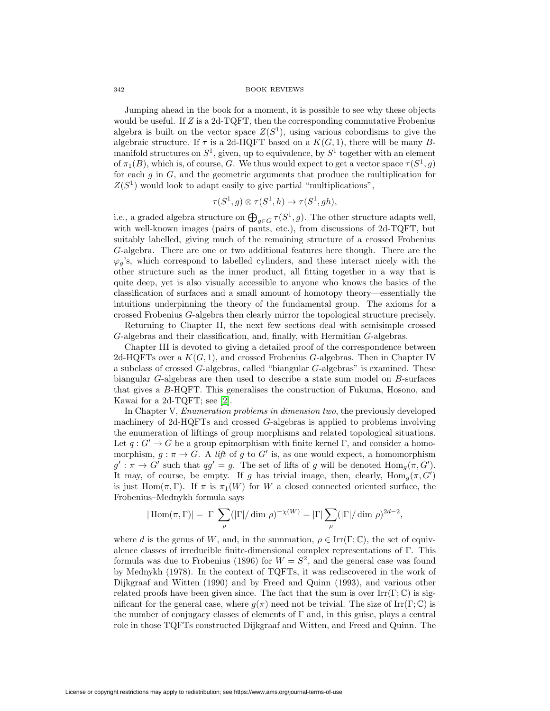Jumping ahead in the book for a moment, it is possible to see why these objects would be useful. If  $Z$  is a 2d-TQFT, then the corresponding commutative Frobenius algebra is built on the vector space  $Z(S^1)$ , using various cobordisms to give the algebraic structure. If  $\tau$  is a 2d-HQFT based on a  $K(G, 1)$ , there will be many Bmanifold structures on  $S^1$ , given, up to equivalence, by  $S^1$  together with an element of  $\pi_1(B)$ , which is, of course, G. We thus would expect to get a vector space  $\tau(S^1, q)$ for each  $q$  in  $G$ , and the geometric arguments that produce the multiplication for  $Z(S^1)$  would look to adapt easily to give partial "multiplications",

$$
\tau(S^1,g) \otimes \tau(S^1,h) \to \tau(S^1,gh),
$$

i.e., a graded algebra structure on  $\bigoplus_{g\in G} \tau(S^1,g)$ . The other structure adapts well, with well-known images (pairs of pants, etc.), from discussions of 2d-TQFT, but suitably labelled, giving much of the remaining structure of a crossed Frobenius G-algebra. There are one or two additional features here though. There are the  $\varphi_g$ 's, which correspond to labelled cylinders, and these interact nicely with the other structure such as the inner product, all fitting together in a way that is quite deep, yet is also visually accessible to anyone who knows the basics of the classification of surfaces and a small amount of homotopy theory—essentially the intuitions underpinning the theory of the fundamental group. The axioms for a crossed Frobenius G-algebra then clearly mirror the topological structure precisely.

Returning to Chapter II, the next few sections deal with semisimple crossed G-algebras and their classification, and, finally, with Hermitian G-algebras.

Chapter III is devoted to giving a detailed proof of the correspondence between 2d-HQFTs over a  $K(G, 1)$ , and crossed Frobenius G-algebras. Then in Chapter IV a subclass of crossed G-algebras, called "biangular G-algebras" is examined. These biangular G-algebras are then used to describe a state sum model on B-surfaces that gives a B-HQFT. This generalises the construction of Fukuma, Hosono, and Kawai for a 2d-TQFT; see [\[2\]](#page-8-5).

In Chapter V, Enumeration problems in dimension two, the previously developed machinery of 2d-HQFTs and crossed G-algebras is applied to problems involving the enumeration of liftings of group morphisms and related topological situations. Let  $q: G' \to G$  be a group epimorphism with finite kernel  $\Gamma$ , and consider a homomorphism,  $g : \pi \to G$ . A *lift* of g to G' is, as one would expect, a homomorphism  $g': \pi \to G'$  such that  $qg' = g$ . The set of lifts of g will be denoted  $\text{Hom}_g(\pi, G')$ . It may, of course, be empty. If g has trivial image, then, clearly,  $\text{Hom}_g(\pi, G')$ is just Hom $(\pi, \Gamma)$ . If  $\pi$  is  $\pi_1(W)$  for W a closed connected oriented surface, the Frobenius–Mednykh formula says

$$
|\operatorname{Hom}(\pi,\Gamma)|=|\Gamma|\sum_{\rho}(|\Gamma|/\dim\rho)^{-\chi(W)}=|\Gamma|\sum_{\rho}(|\Gamma|/\dim\rho)^{2d-2},
$$

where d is the genus of W, and, in the summation,  $\rho \in \text{Irr}(\Gamma;\mathbb{C})$ , the set of equivalence classes of irreducible finite-dimensional complex representations of Γ. This formula was due to Frobenius (1896) for  $W = S^2$ , and the general case was found by Mednykh (1978). In the context of TQFTs, it was rediscovered in the work of Dijkgraaf and Witten (1990) and by Freed and Quinn (1993), and various other related proofs have been given since. The fact that the sum is over  $\text{Irr}(\Gamma;\mathbb{C})$  is significant for the general case, where  $q(\pi)$  need not be trivial. The size of Irr(Γ; C) is the number of conjugacy classes of elements of  $\Gamma$  and, in this guise, plays a central role in those TQFTs constructed Dijkgraaf and Witten, and Freed and Quinn. The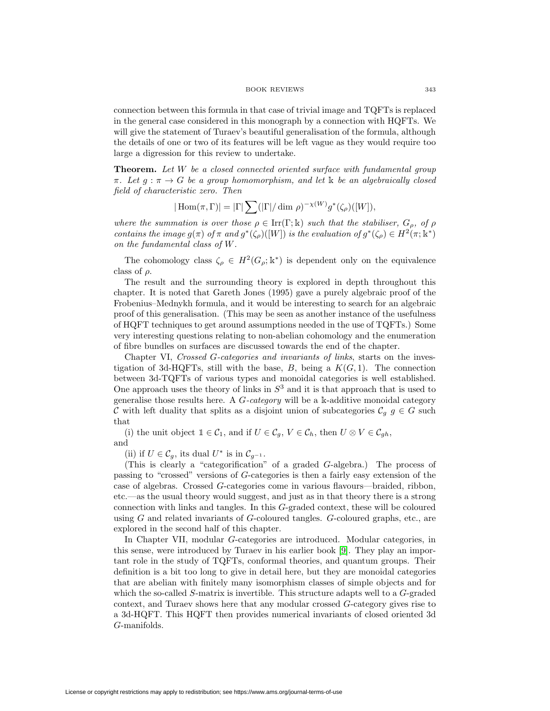connection between this formula in that case of trivial image and TQFTs is replaced in the general case considered in this monograph by a connection with HQFTs. We will give the statement of Turaev's beautiful generalisation of the formula, although the details of one or two of its features will be left vague as they would require too large a digression for this review to undertake.

**Theorem.** Let W be a closed connected oriented surface with fundamental group  $\pi$ . Let  $q : \pi \to G$  be a group homomorphism, and let k be an algebraically closed field of characteristic zero. Then

$$
|\operatorname{Hom}(\pi,\Gamma)|=|\Gamma|\sum(|\Gamma|/\dim\rho)^{-\chi(W)}g^*(\zeta_\rho)([W]),
$$

where the summation is over those  $\rho \in \text{Irr}(\Gamma; \mathbb{k})$  such that the stabiliser,  $G_{\rho}$ , of  $\rho$ contains the image  $g(\pi)$  of  $\pi$  and  $g^*(\zeta_o)([W])$  is the evaluation of  $g^*(\zeta_o) \in H^2(\pi; \mathbb{k}^*)$ on the fundamental class of W.

The cohomology class  $\zeta_{\rho} \in H^2(G_{\rho}; \mathbb{k}^*)$  is dependent only on the equivalence class of  $\rho$ .

The result and the surrounding theory is explored in depth throughout this chapter. It is noted that Gareth Jones (1995) gave a purely algebraic proof of the Frobenius–Mednykh formula, and it would be interesting to search for an algebraic proof of this generalisation. (This may be seen as another instance of the usefulness of HQFT techniques to get around assumptions needed in the use of TQFTs.) Some very interesting questions relating to non-abelian cohomology and the enumeration of fibre bundles on surfaces are discussed towards the end of the chapter.

Chapter VI, Crossed G-categories and invariants of links, starts on the investigation of 3d-HQFTs, still with the base,  $B$ , being a  $K(G, 1)$ . The connection between 3d-TQFTs of various types and monoidal categories is well established. One approach uses the theory of links in  $S<sup>3</sup>$  and it is that approach that is used to generalise those results here. A  $G$ -category will be a k-additive monoidal category C with left duality that splits as a disjoint union of subcategories  $\mathcal{C}_q$  g  $\in G$  such that

(i) the unit object  $\mathbb{1} \in \mathcal{C}_1$ , and if  $U \in \mathcal{C}_g$ ,  $V \in \mathcal{C}_h$ , then  $U \otimes V \in \mathcal{C}_{gh}$ , and

(ii) if  $U \in \mathcal{C}_g$ , its dual  $U^*$  is in  $\mathcal{C}_{g^{-1}}$ .

(This is clearly a "categorification" of a graded G-algebra.) The process of passing to "crossed" versions of G-categories is then a fairly easy extension of the case of algebras. Crossed G-categories come in various flavours—braided, ribbon, etc.—as the usual theory would suggest, and just as in that theory there is a strong connection with links and tangles. In this G-graded context, these will be coloured using  $G$  and related invariants of  $G$ -coloured tangles.  $G$ -coloured graphs, etc., are explored in the second half of this chapter.

In Chapter VII, modular G-categories are introduced. Modular categories, in this sense, were introduced by Turaev in his earlier book [\[9\]](#page-8-6). They play an important role in the study of TQFTs, conformal theories, and quantum groups. Their definition is a bit too long to give in detail here, but they are monoidal categories that are abelian with finitely many isomorphism classes of simple objects and for which the so-called S-matrix is invertible. This structure adapts well to a G-graded context, and Turaev shows here that any modular crossed G-category gives rise to a 3d-HQFT. This HQFT then provides numerical invariants of closed oriented 3d G-manifolds.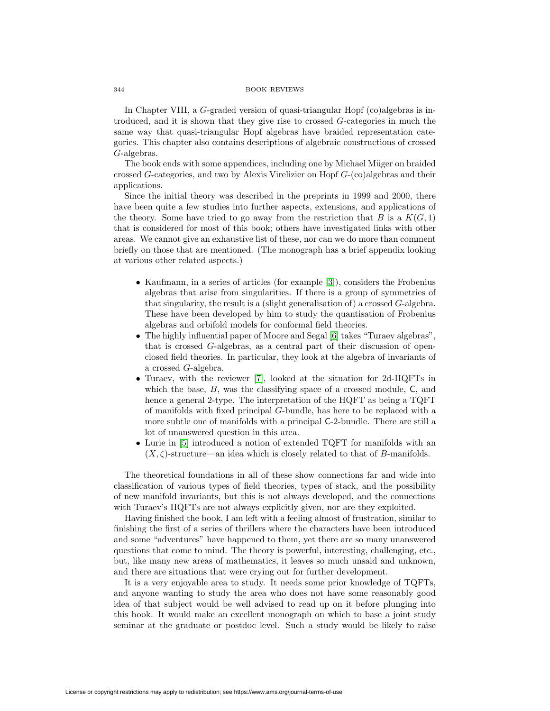In Chapter VIII, a  $G$ -graded version of quasi-triangular Hopf (co)algebras is introduced, and it is shown that they give rise to crossed G-categories in much the same way that quasi-triangular Hopf algebras have braided representation categories. This chapter also contains descriptions of algebraic constructions of crossed G-algebras.

The book ends with some appendices, including one by Michael Müger on braided crossed G-categories, and two by Alexis Virelizier on Hopf  $G$ -(co)algebras and their applications.

Since the initial theory was described in the preprints in 1999 and 2000, there have been quite a few studies into further aspects, extensions, and applications of the theory. Some have tried to go away from the restriction that B is a  $K(G, 1)$ that is considered for most of this book; others have investigated links with other areas. We cannot give an exhaustive list of these, nor can we do more than comment briefly on those that are mentioned. (The monograph has a brief appendix looking at various other related aspects.)

- Kaufmann, in a series of articles (for example [\[3\]](#page-8-7)), considers the Frobenius algebras that arise from singularities. If there is a group of symmetries of that singularity, the result is a (slight generalisation of) a crossed G-algebra. These have been developed by him to study the quantisation of Frobenius algebras and orbifold models for conformal field theories.
- The highly influential paper of Moore and Segal [\[6\]](#page-8-8) takes "Turaev algebras", that is crossed G-algebras, as a central part of their discussion of openclosed field theories. In particular, they look at the algebra of invariants of a crossed G-algebra.
- Turaev, with the reviewer [\[7\]](#page-8-9), looked at the situation for 2d-HQFTs in which the base,  $B$ , was the classifying space of a crossed module,  $C$ , and hence a general 2-type. The interpretation of the HQFT as being a TQFT of manifolds with fixed principal G-bundle, has here to be replaced with a more subtle one of manifolds with a principal C-2-bundle. There are still a lot of unanswered question in this area.
- Lurie in [\[5\]](#page-8-10) introduced a notion of extended TQFT for manifolds with an  $(X, \zeta)$ -structure—an idea which is closely related to that of B-manifolds.

The theoretical foundations in all of these show connections far and wide into classification of various types of field theories, types of stack, and the possibility of new manifold invariants, but this is not always developed, and the connections with Turaev's HQFTs are not always explicitly given, nor are they exploited.

Having finished the book, I am left with a feeling almost of frustration, similar to finishing the first of a series of thrillers where the characters have been introduced and some "adventures" have happened to them, yet there are so many unanswered questions that come to mind. The theory is powerful, interesting, challenging, etc., but, like many new areas of mathematics, it leaves so much unsaid and unknown, and there are situations that were crying out for further development.

It is a very enjoyable area to study. It needs some prior knowledge of TQFTs, and anyone wanting to study the area who does not have some reasonably good idea of that subject would be well advised to read up on it before plunging into this book. It would make an excellent monograph on which to base a joint study seminar at the graduate or postdoc level. Such a study would be likely to raise